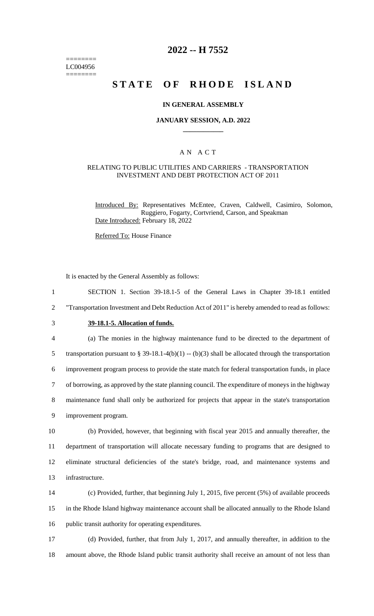======== LC004956 ========

## **2022 -- H 7552**

# **STATE OF RHODE ISLAND**

#### **IN GENERAL ASSEMBLY**

#### **JANUARY SESSION, A.D. 2022 \_\_\_\_\_\_\_\_\_\_\_\_**

#### A N A C T

#### RELATING TO PUBLIC UTILITIES AND CARRIERS - TRANSPORTATION INVESTMENT AND DEBT PROTECTION ACT OF 2011

Introduced By: Representatives McEntee, Craven, Caldwell, Casimiro, Solomon, Ruggiero, Fogarty, Cortvriend, Carson, and Speakman Date Introduced: February 18, 2022

Referred To: House Finance

It is enacted by the General Assembly as follows:

 SECTION 1. Section 39-18.1-5 of the General Laws in Chapter 39-18.1 entitled "Transportation Investment and Debt Reduction Act of 2011" is hereby amended to read as follows: **39-18.1-5. Allocation of funds.** (a) The monies in the highway maintenance fund to be directed to the department of 5 transportation pursuant to § 39-18.1-4(b)(1) -- (b)(3) shall be allocated through the transportation improvement program process to provide the state match for federal transportation funds, in place of borrowing, as approved by the state planning council. The expenditure of moneys in the highway maintenance fund shall only be authorized for projects that appear in the state's transportation improvement program. (b) Provided, however, that beginning with fiscal year 2015 and annually thereafter, the department of transportation will allocate necessary funding to programs that are designed to eliminate structural deficiencies of the state's bridge, road, and maintenance systems and infrastructure. (c) Provided, further, that beginning July 1, 2015, five percent (5%) of available proceeds in the Rhode Island highway maintenance account shall be allocated annually to the Rhode Island public transit authority for operating expenditures. (d) Provided, further, that from July 1, 2017, and annually thereafter, in addition to the

18 amount above, the Rhode Island public transit authority shall receive an amount of not less than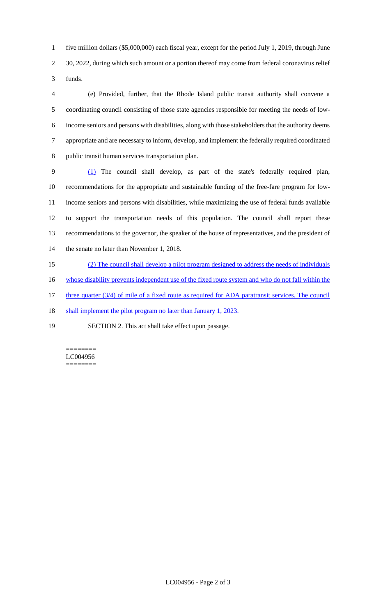five million dollars (\$5,000,000) each fiscal year, except for the period July 1, 2019, through June 2 30, 2022, during which such amount or a portion thereof may come from federal coronavirus relief funds.

 (e) Provided, further, that the Rhode Island public transit authority shall convene a coordinating council consisting of those state agencies responsible for meeting the needs of low- income seniors and persons with disabilities, along with those stakeholders that the authority deems appropriate and are necessary to inform, develop, and implement the federally required coordinated public transit human services transportation plan.

 (1) The council shall develop, as part of the state's federally required plan, recommendations for the appropriate and sustainable funding of the free-fare program for low- income seniors and persons with disabilities, while maximizing the use of federal funds available to support the transportation needs of this population. The council shall report these recommendations to the governor, the speaker of the house of representatives, and the president of the senate no later than November 1, 2018.

(2) The council shall develop a pilot program designed to address the needs of individuals

whose disability prevents independent use of the fixed route system and who do not fall within the

17 three quarter (3/4) of mile of a fixed route as required for ADA paratransit services. The council

18 shall implement the pilot program no later than January 1, 2023.

SECTION 2. This act shall take effect upon passage.

======== LC004956 ========